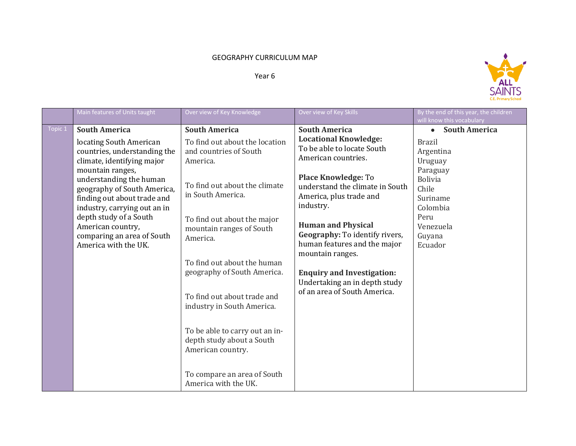## GEOGRAPHY CURRICULUM MAP

## Year 6



|         | Main features of Units taught                                                                                                                                                                                                                                                                                                                                   | Over view of Key Knowledge                                                                                                                                                                                                                                                              | Over view of Key Skills                                                                                                                                                                                                                                                                                                                                                                                     | By the end of this year, the children<br>will know this vocabulary                                                                                                                  |
|---------|-----------------------------------------------------------------------------------------------------------------------------------------------------------------------------------------------------------------------------------------------------------------------------------------------------------------------------------------------------------------|-----------------------------------------------------------------------------------------------------------------------------------------------------------------------------------------------------------------------------------------------------------------------------------------|-------------------------------------------------------------------------------------------------------------------------------------------------------------------------------------------------------------------------------------------------------------------------------------------------------------------------------------------------------------------------------------------------------------|-------------------------------------------------------------------------------------------------------------------------------------------------------------------------------------|
| Topic 1 | <b>South America</b><br>locating South American<br>countries, understanding the<br>climate, identifying major<br>mountain ranges,<br>understanding the human<br>geography of South America,<br>finding out about trade and<br>industry, carrying out an in<br>depth study of a South<br>American country,<br>comparing an area of South<br>America with the UK. | <b>South America</b><br>To find out about the location<br>and countries of South<br>America.<br>To find out about the climate<br>in South America.<br>To find out about the major<br>mountain ranges of South<br>America.<br>To find out about the human<br>geography of South America. | <b>South America</b><br><b>Locational Knowledge:</b><br>To be able to locate South<br>American countries.<br><b>Place Knowledge: To</b><br>understand the climate in South<br>America, plus trade and<br>industry.<br><b>Human and Physical</b><br>Geography: To identify rivers,<br>human features and the major<br>mountain ranges.<br><b>Enquiry and Investigation:</b><br>Undertaking an in depth study | <b>South America</b><br>$\bullet$<br><b>Brazil</b><br>Argentina<br>Uruguay<br>Paraguay<br><b>Bolivia</b><br>Chile<br>Suriname<br>Colombia<br>Peru<br>Venezuela<br>Guyana<br>Ecuador |
|         |                                                                                                                                                                                                                                                                                                                                                                 | To find out about trade and<br>industry in South America.<br>To be able to carry out an in-<br>depth study about a South<br>American country.<br>To compare an area of South<br>America with the UK.                                                                                    | of an area of South America.                                                                                                                                                                                                                                                                                                                                                                                |                                                                                                                                                                                     |